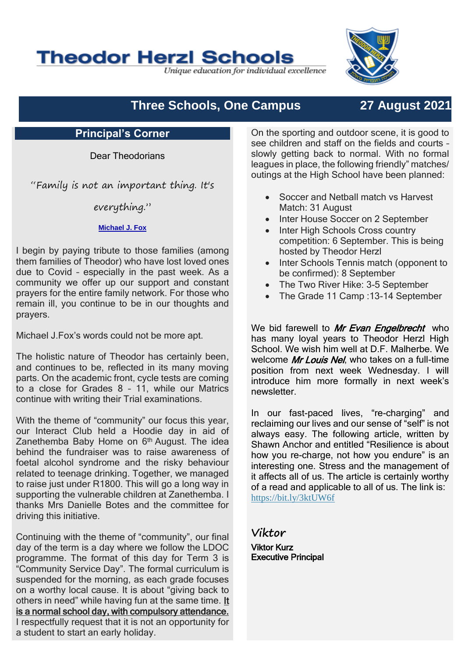# **Theodor Herzl Schools**

Unique education for individual excellence

# **Three Schools, One Campus 27 August 2021**

## **Principal's Corner**

Dear Theodorians

"Family is not an important thing. It's

everything."

### **[Michael J. Fox](https://www.brainyquote.com/authors/michael-j-fox-quotes)**

I begin by paying tribute to those families (among them families of Theodor) who have lost loved ones due to Covid – especially in the past week. As a community we offer up our support and constant prayers for the entire family network. For those who remain ill, you continue to be in our thoughts and prayers.

Michael J.Fox's words could not be more apt.

The holistic nature of Theodor has certainly been, and continues to be, reflected in its many moving parts. On the academic front, cycle tests are coming to a close for Grades 8 – 11, while our Matrics continue with writing their Trial examinations.

With the theme of "community" our focus this year, our Interact Club held a Hoodie day in aid of Zanethemba Baby Home on 6<sup>th</sup> August. The idea behind the fundraiser was to raise awareness of foetal alcohol syndrome and the risky behaviour related to teenage drinking. Together, we managed to raise just under R1800. This will go a long way in supporting the vulnerable children at Zanethemba. I thanks Mrs Danielle Botes and the committee for driving this initiative.

Continuing with the theme of "community", our final day of the term is a day where we follow the LDOC programme. The format of this day for Term 3 is "Community Service Day". The formal curriculum is suspended for the morning, as each grade focuses on a worthy local cause. It is about "giving back to others in need" while having fun at the same time. It is a normal school day, with compulsory attendance. I respectfully request that it is not an opportunity for a student to start an early holiday.

On the sporting and outdoor scene, it is good to see children and staff on the fields and courts – slowly getting back to normal. With no formal leagues in place, the following friendly" matches/ outings at the High School have been planned:

- Soccer and Netball match vs Harvest Match: 31 August
- Inter House Soccer on 2 September
- Inter High Schools Cross country competition: 6 September. This is being hosted by Theodor Herzl
- Inter Schools Tennis match (opponent to be confirmed): 8 September
- The Two River Hike: 3-5 September
- The Grade 11 Camp : 13-14 September

We bid farewell to Mr Evan Engelbrecht who has many loyal years to Theodor Herzl High School. We wish him well at D.F. Malherbe. We welcome Mr Louis Nel, who takes on a full-time position from next week Wednesday. I will introduce him more formally in next week's newsletter.

In our fast-paced lives, "re-charging" and reclaiming our lives and our sense of "self" is not always easy. The following article, written by Shawn Anchor and entitled "Resilience is about how you re-charge, not how you endure" is an interesting one. Stress and the management of it affects all of us. The article is certainly worthy of a read and applicable to all of us. The link is: <https://bit.ly/3ktUW6f>

**Viktor** Viktor Kurz Executive Principal